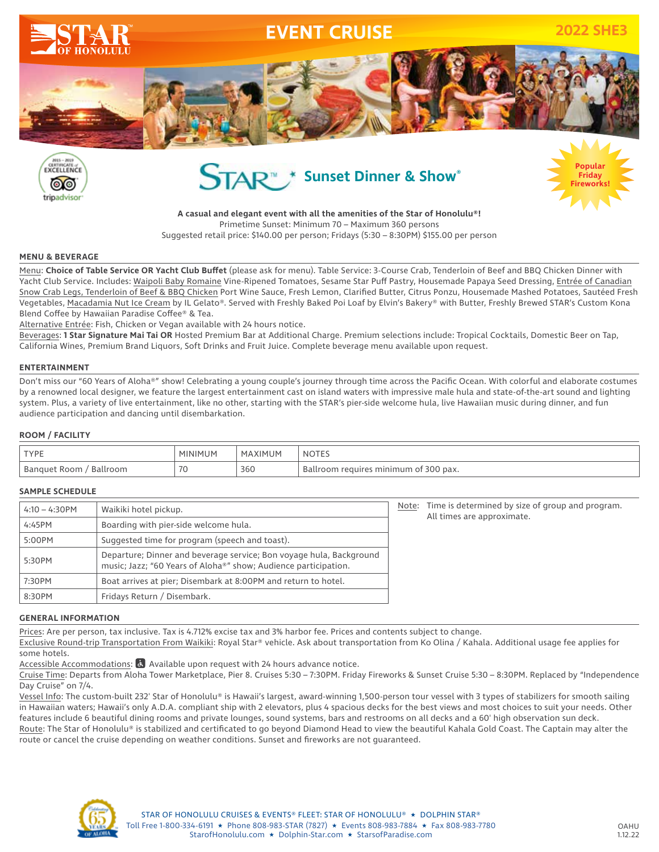







**A casual and elegant event with all the amenities of the Star of Honolulu®!** Primetime Sunset: Minimum 70 – Maximum 360 persons Suggested retail price: \$140.00 per person; Fridays (5:30 – 8:30PM) \$155.00 per person

#### **MENU & BEVERAGE**

Menu: **Choice of Table Service OR Yacht Club Buffet** (please ask for menu). Table Service: 3-Course Crab, Tenderloin of Beef and BBQ Chicken Dinner with Yacht Club Service. Includes: Waipoli Baby Romaine Vine-Ripened Tomatoes, Sesame Star Puff Pastry, Housemade Papaya Seed Dressing, Entrée of Canadian Snow Crab Legs, Tenderloin of Beef & BBQ Chicken Port Wine Sauce, Fresh Lemon, Clarified Butter, Citrus Ponzu, Housemade Mashed Potatoes, Sautéed Fresh Vegetables, Macadamia Nut Ice Cream by IL Gelato®. Served with Freshly Baked Poi Loaf by Elvin's Bakery® with Butter, Freshly Brewed STAR's Custom Kona Blend Coffee by Hawaiian Paradise Coffee® & Tea.

Alternative Entrée: Fish, Chicken or Vegan available with 24 hours notice.

Beverages: **1 Star Signature Mai Tai OR** Hosted Premium Bar at Additional Charge. Premium selections include: Tropical Cocktails, Domestic Beer on Tap, California Wines, Premium Brand Liquors, Soft Drinks and Fruit Juice. Complete beverage menu available upon request.

#### **ENTERTAINMENT**

Don't miss our "60 Years of Aloha®" show! Celebrating a young couple's journey through time across the Pacific Ocean. With colorful and elaborate costumes by a renowned local designer, we feature the largest entertainment cast on island waters with impressive male hula and state-of-the-art sound and lighting system. Plus, a variety of live entertainment, like no other, starting with the STAR's pier-side welcome hula, live Hawaiian music during dinner, and fun audience participation and dancing until disembarkation.

## **ROOM / FACILITY**

| <b>TYPE</b>                | IINIMI         | (IMI IM<br>MΔ | 'NUIL.                                |
|----------------------------|----------------|---------------|---------------------------------------|
| Ballroom<br>  Banquet Room | 7 <sup>c</sup> | 360           | Ballroom requires minimum of 300 pax. |

#### **SAMPLE SCHEDULE**

| $4:10 - 4:30$ PM | Waikiki hotel pickup.                                                                                                                  | Note: | Time is determined by size of group and program.<br>All times are approximate. |
|------------------|----------------------------------------------------------------------------------------------------------------------------------------|-------|--------------------------------------------------------------------------------|
| 4:45PM           | Boarding with pier-side welcome hula.                                                                                                  |       |                                                                                |
| 5:00PM           | Suggested time for program (speech and toast).                                                                                         |       |                                                                                |
| 5:30PM           | Departure; Dinner and beverage service; Bon voyage hula, Background<br>music; Jazz; "60 Years of Aloha®" show; Audience participation. |       |                                                                                |
| 7:30PM           | Boat arrives at pier; Disembark at 8:00PM and return to hotel.                                                                         |       |                                                                                |
| 8:30PM           | Fridays Return / Disembark.                                                                                                            |       |                                                                                |

#### **GENERAL INFORMATION**

Prices: Are per person, tax inclusive. Tax is 4.712% excise tax and 3% harbor fee. Prices and contents subject to change.

Exclusive Round-trip Transportation From Waikiki: Royal Star® vehicle. Ask about transportation from Ko Olina / Kahala. Additional usage fee applies for some hotels.

Accessible Accommodations: & Available upon request with 24 hours advance notice.

Cruise Time: Departs from Aloha Tower Marketplace, Pier 8. Cruises 5:30 – 7:30PM. Friday Fireworks & Sunset Cruise 5:30 – 8:30PM. Replaced by "Independence Day Cruise" on 7/4.

Vessel Info: The custom-built 232' Star of Honolulu® is Hawaii's largest, award-winning 1,500-person tour vessel with 3 types of stabilizers for smooth sailing in Hawaiian waters; Hawaii's only A.D.A. compliant ship with 2 elevators, plus 4 spacious decks for the best views and most choices to suit your needs. Other features include 6 beautiful dining rooms and private lounges, sound systems, bars and restrooms on all decks and a 60' high observation sun deck. Route: The Star of Honolulu® is stabilized and certificated to go beyond Diamond Head to view the beautiful Kahala Gold Coast. The Captain may alter the route or cancel the cruise depending on weather conditions. Sunset and fireworks are not guaranteed.